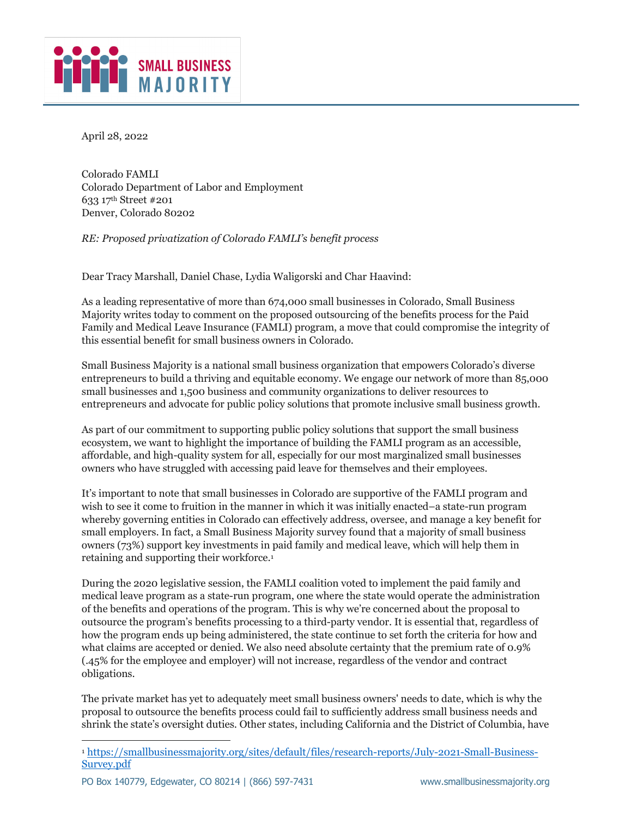

April 28, 2022

Colorado FAMLI Colorado Department of Labor and Employment 633 17th Street #201 Denver, Colorado 80202

*RE: Proposed privatization of Colorado FAMLI's benefit process*

Dear Tracy Marshall, Daniel Chase, Lydia Waligorski and Char Haavind:

As a leading representative of more than 674,000 small businesses in Colorado, Small Business Majority writes today to comment on the proposed outsourcing of the benefits process for the Paid Family and Medical Leave Insurance (FAMLI) program, a move that could compromise the integrity of this essential benefit for small business owners in Colorado.

Small Business Majority is a national small business organization that empowers Colorado's diverse entrepreneurs to build a thriving and equitable economy. We engage our network of more than 85,000 small businesses and 1,500 business and community organizations to deliver resources to entrepreneurs and advocate for public policy solutions that promote inclusive small business growth.

As part of our commitment to supporting public policy solutions that support the small business ecosystem, we want to highlight the importance of building the FAMLI program as an accessible, affordable, and high-quality system for all, especially for our most marginalized small businesses owners who have struggled with accessing paid leave for themselves and their employees.

It's important to note that small businesses in Colorado are supportive of the FAMLI program and wish to see it come to fruition in the manner in which it was initially enacted–a state-run program whereby governing entities in Colorado can effectively address, oversee, and manage a key benefit for small employers. In fact, a Small Business Majority survey found that a majority of small business owners (73%) support key investments in paid family and medical leave, which will help them in retaining and supporting their workforce.1

During the 2020 legislative session, the FAMLI coalition voted to implement the paid family and medical leave program as a state-run program, one where the state would operate the administration of the benefits and operations of the program. This is why we're concerned about the proposal to outsource the program's benefits processing to a third-party vendor. It is essential that, regardless of how the program ends up being administered, the state continue to set forth the criteria for how and what claims are accepted or denied. We also need absolute certainty that the premium rate of 0.9% (.45% for the employee and employer) will not increase, regardless of the vendor and contract obligations.

The private market has yet to adequately meet small business owners' needs to date, which is why the proposal to outsource the benefits process could fail to sufficiently address small business needs and shrink the state's oversight duties. Other states, including California and the District of Columbia, have

<sup>1</sup> https://smallbusinessmajority.org/sites/default/files/research-reports/July-2021-Small-Business-Survey.pdf